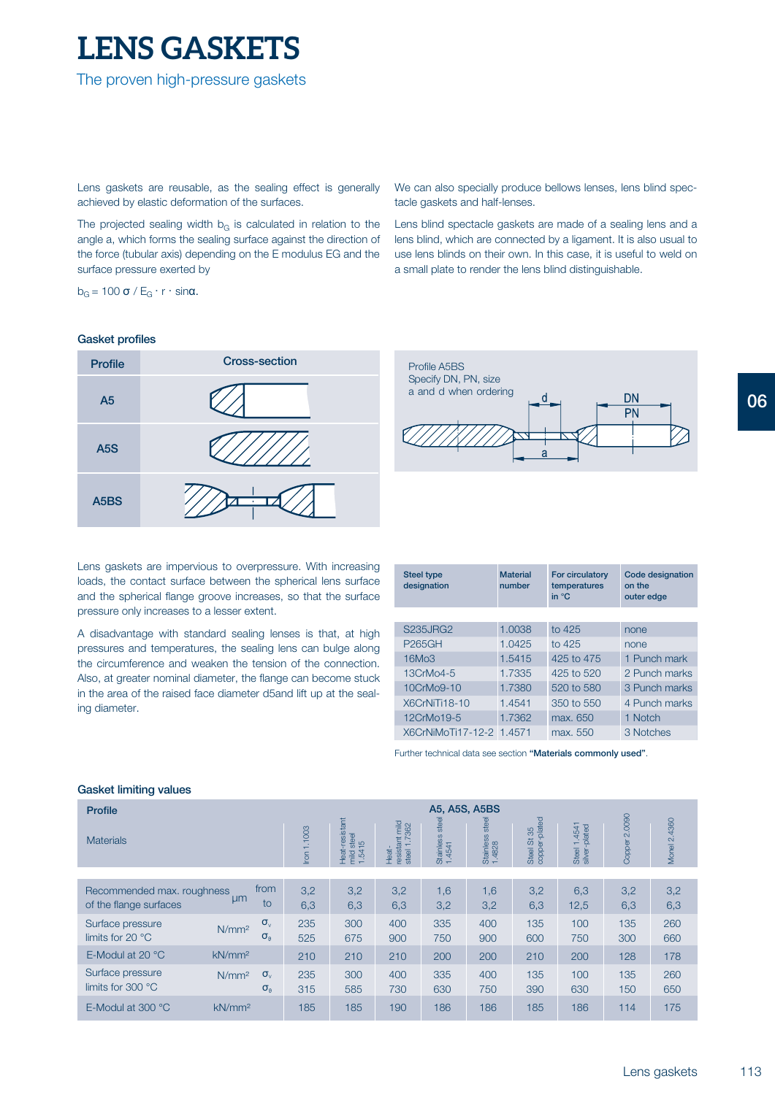# **LENS GASKETS**

The proven high-pressure gaskets

Lens gaskets are reusable, as the sealing effect is generally achieved by elastic deformation of the surfaces.

The projected sealing width  $b<sub>G</sub>$  is calculated in relation to the angle a, which forms the sealing surface against the direction of the force (tubular axis) depending on the E modulus EG and the surface pressure exerted by

 $b_G$  = 100 σ / E<sub>G</sub> · r · sinα.

## **Gasket profiles**



Lens gaskets are impervious to overpressure. With increasing loads, the contact surface between the spherical lens surface and the spherical flange groove increases, so that the surface pressure only increases to a lesser extent.

A disadvantage with standard sealing lenses is that, at high pressures and temperatures, the sealing lens can bulge along the circumference and weaken the tension of the connection. Also, at greater nominal diameter, the flange can become stuck in the area of the raised face diameter d5and lift up at the sealing diameter.

We can also specially produce bellows lenses, lens blind spectacle gaskets and half-lenses.

Lens blind spectacle gaskets are made of a sealing lens and a lens blind, which are connected by a ligament. It is also usual to use lens blinds on their own. In this case, it is useful to weld on a small plate to render the lens blind distinguishable.



**designation number temperatures on the in °C outer edge Steel type Material For circulatory Code designation**

| <b>S235JRG2</b>          | 1.0038 | to 425     | none          |
|--------------------------|--------|------------|---------------|
| <b>P265GH</b>            | 1.0425 | to 425     | none          |
| 16Mo3                    | 1.5415 | 425 to 475 | 1 Punch mark  |
| 13CrMo4-5                | 1.7335 | 425 to 520 | 2 Punch marks |
| 10CrMo9-10               | 1.7380 | 520 to 580 | 3 Punch marks |
| X6CrNiTi18-10            | 1.4541 | 350 to 550 | 4 Punch marks |
| 12CrMo19-5               | 1.7362 | max. 650   | 1 Notch       |
| X6CrNiMoTi17-12-2 1.4571 |        | max. 550   | 3 Notches     |

Further technical data see section **"Materials commonly used"**.

# **Gasket limiting values**

| <b>Profile</b>                                       |                    | A5, A5S, A5BS                    |               |                                                      |                                                                                          |                              |                               |                                                                   |                                        |                  |                 |
|------------------------------------------------------|--------------------|----------------------------------|---------------|------------------------------------------------------|------------------------------------------------------------------------------------------|------------------------------|-------------------------------|-------------------------------------------------------------------|----------------------------------------|------------------|-----------------|
| <b>Materials</b>                                     |                    |                                  | 1.1003<br>$l$ | Heat-resistant<br>steel<br>15<br>$\frac{1.54}{1.54}$ | $m\overline{u}$<br>$362$<br>resistant<br>Ñ<br>$\overline{\phantom{0}}$<br>steel<br>Heat- | steel<br>Stainless<br>1.4541 | steel<br>Stainless:<br>1.4828 | copper-plated<br>85<br>$\overleftrightarrow{\mathrm{o}}$<br>Steel | .4541<br>Steel 1.4541<br>silver-plated | 2.0090<br>Copper | 2.4360<br>Monel |
|                                                      |                    |                                  |               |                                                      |                                                                                          |                              |                               |                                                                   |                                        |                  |                 |
| Recommended max. roughness<br>of the flange surfaces | µm                 | from<br>to                       | 3,2<br>6,3    | 3,2<br>6,3                                           | 3,2<br>6,3                                                                               | 1,6<br>3,2                   | 1,6<br>3,2                    | 3,2<br>6,3                                                        | 6,3<br>12,5                            | 3,2<br>6,3       | 3,2<br>6,3      |
| Surface pressure<br>limits for 20 $\degree$ C        | N/mm <sup>2</sup>  | $\sigma_{v}$<br>$\sigma_{\rm a}$ | 235<br>525    | 300<br>675                                           | 400<br>900                                                                               | 335<br>750                   | 400<br>900                    | 135<br>600                                                        | 100<br>750                             | 135<br>300       | 260<br>660      |
| E-Modul at 20 °C                                     | kN/mm <sup>2</sup> |                                  | 210           | 210                                                  | 210                                                                                      | 200                          | 200                           | 210                                                               | 200                                    | 128              | 178             |
| Surface pressure<br>limits for 300 °C                | N/mm <sup>2</sup>  | $\sigma_{v}$<br>$\sigma_{\rm a}$ | 235<br>315    | 300<br>585                                           | 400<br>730                                                                               | 335<br>630                   | 400<br>750                    | 135<br>390                                                        | 100<br>630                             | 135<br>150       | 260<br>650      |
| E-Modul at 300 °C                                    | kN/mm <sup>2</sup> |                                  | 185           | 185                                                  | 190                                                                                      | 186                          | 186                           | 185                                                               | 186                                    | 114              | 175             |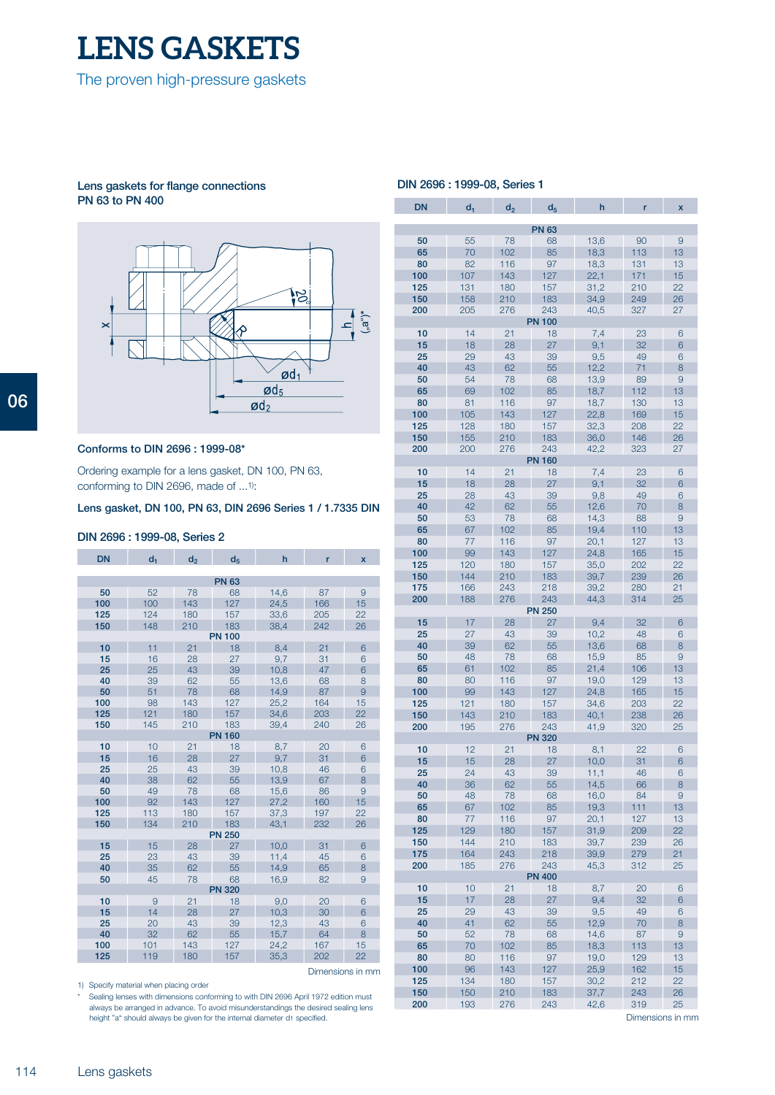

#### **Lens gaskets for flange connections PN 63 to PN 400**



# **Conforms to DIN 2696 : 1999-08\***

Ordering example for a lens gasket, DN 100, PN 63, conforming to DIN 2696, made of  $\dots$ <sup>1)</sup>:

# **Lens gasket, DN 100, PN 63, DIN 2696 Series 1 / 1.7335 DIN**

#### **DIN 2696 : 1999-08, Series 2**

| <b>DN</b>        | d <sub>1</sub>                                          | d <sub>2</sub> | d <sub>5</sub> | h    | r   | $\overline{\mathbf{x}}$ |  |  |  |  |
|------------------|---------------------------------------------------------|----------------|----------------|------|-----|-------------------------|--|--|--|--|
|                  |                                                         |                |                |      |     |                         |  |  |  |  |
|                  |                                                         |                | <b>PN 63</b>   |      |     |                         |  |  |  |  |
| 50               | 52                                                      | 78             | 68             | 14,6 | 87  | 9                       |  |  |  |  |
| 100              | 100                                                     | 143            | 127            | 24,5 | 166 | 15                      |  |  |  |  |
| 125              | 124                                                     | 180            | 157            | 33,6 | 205 | 22                      |  |  |  |  |
| 150              | 148                                                     | 210            | 183            | 38,4 | 242 | 26                      |  |  |  |  |
|                  | <b>PN 100</b><br>21<br>10<br>11<br>21<br>6<br>18<br>8,4 |                |                |      |     |                         |  |  |  |  |
| 15               | 16                                                      | 28             | 27             | 9,7  | 31  | 6                       |  |  |  |  |
| 25               | 25                                                      | 43             | 39             | 10,8 | 47  | 6                       |  |  |  |  |
| 40               | 39                                                      | 62             | 55             | 13,6 | 68  | 8                       |  |  |  |  |
| 50               | 51                                                      | 78             | 68             | 14,9 | 87  | 9                       |  |  |  |  |
| 100              | 98                                                      | 143            | 127            | 25,2 | 164 | 15                      |  |  |  |  |
| 125              | 121                                                     | 180            | 157            | 34,6 | 203 | 22                      |  |  |  |  |
| 150              | 145                                                     | 210            | 183            | 39,4 | 240 | 26                      |  |  |  |  |
| <b>PN 160</b>    |                                                         |                |                |      |     |                         |  |  |  |  |
| 10               | 10                                                      | 21             | 18             | 8,7  | 20  | 6                       |  |  |  |  |
| 15               | 16                                                      | 28             | 27             | 9,7  | 31  | 6                       |  |  |  |  |
| 25               | 25                                                      | 43             | 39             | 10,8 | 46  | 6                       |  |  |  |  |
| 40               | 38                                                      | 62             | 55             | 13,9 | 67  | 8                       |  |  |  |  |
| 50               | 49                                                      | 78             | 68             | 15,6 | 86  | 9                       |  |  |  |  |
| 100              | 92                                                      | 143            | 127            | 27,2 | 160 | 15                      |  |  |  |  |
| 125              | 113                                                     | 180            | 157            | 37,3 | 197 | 22                      |  |  |  |  |
| 150              | 134                                                     | 210            | 183            | 43.1 | 232 | 26                      |  |  |  |  |
| <b>PN 250</b>    |                                                         |                |                |      |     |                         |  |  |  |  |
| 15               | 15                                                      | 28             | 27             | 10,0 | 31  | 6                       |  |  |  |  |
| 25               | 23                                                      | 43             | 39             | 11,4 | 45  | 6                       |  |  |  |  |
| 40               | 35                                                      | 62             | 55             | 14,9 | 65  | 8                       |  |  |  |  |
| 50               | 45                                                      | 78             | 68             | 16,9 | 82  | 9                       |  |  |  |  |
|                  |                                                         |                | <b>PN 320</b>  |      |     |                         |  |  |  |  |
| 10               | 9                                                       | 21             | 18             | 9,0  | 20  | 6                       |  |  |  |  |
| 15               | 14                                                      | 28             | 27             | 10,3 | 30  | 6                       |  |  |  |  |
| 25               | 20                                                      | 43             | 39             | 12,3 | 43  | 6                       |  |  |  |  |
| 40               | 32                                                      | 62             | 55             | 15,7 | 64  | 8                       |  |  |  |  |
| 100              | 101                                                     | 143            | 127            | 24,2 | 167 | 15                      |  |  |  |  |
| 125              | 119                                                     | 180            | 157            | 35,3 | 202 | 22                      |  |  |  |  |
| Dimensions in mm |                                                         |                |                |      |     |                         |  |  |  |  |

1) Specify material when placing order

\* Sealing lenses with dimensions conforming to with DIN 2696 April 1972 edition must always be arranged in advance. To avoid misunderstandings the desired sealing lens height "a" should always be given for the internal diameter d<sub>1</sub> specified.

# **DIN 2696 : 1999-08, Series 1**

| <b>DN</b>    | d <sub>1</sub> | d <sub>2</sub> | d <sub>5</sub> | h            | ŕ          | X        |  |  |
|--------------|----------------|----------------|----------------|--------------|------------|----------|--|--|
| <b>PN 63</b> |                |                |                |              |            |          |  |  |
| 50           | 55             | 78             | 68             | 13,6         | 90         | 9        |  |  |
| 65           | 70             | 102            | 85             | 18,3         | 113        | 13       |  |  |
| 80           | 82             | 116            | 97             | 18,3         | 131        | 13       |  |  |
| 100          | 107            | 143            | 127            | 22,1         | 171        | 15       |  |  |
| 125          | 131            | 180            | 157            | 31,2         | 210        | 22       |  |  |
| 150          | 158            | 210            | 183            | 34,9         | 249        | 26       |  |  |
| 200          | 205            | 276            | 243            | 40,5         | 327        | 27       |  |  |
|              |                |                | <b>PN 100</b>  |              |            |          |  |  |
| 10           | 14             | 21             | 18             | 7,4          | 23         | 6        |  |  |
| 15           | 18             | 28             | 27             | 9,1          | 32         | 6        |  |  |
| 25           | 29             | 43             | 39             | 9,5          | 49         | 6        |  |  |
| 40           | 43             | 62             | 55             | 12,2         | 71         | 8        |  |  |
| 50           | 54             | 78             | 68             | 13,9         | 89         | 9        |  |  |
| 65           | 69             | 102            | 85             | 18,7         | 112        | 13       |  |  |
| 80           | 81             | 116            | 97             | 18,7         | 130        | 13       |  |  |
| 100          | 105            | 143            | 127            | 22,8         | 169        | 15       |  |  |
| 125          | 128            | 180            | 157            | 32,3         | 208        | 22       |  |  |
| 150          | 155            | 210            | 183            | 36,0         | 146        | 26       |  |  |
| 200          | 200            | 276            | 243            | 42,2         | 323        | 27       |  |  |
|              |                |                | <b>PN 160</b>  |              |            |          |  |  |
| 10           | 14             | 21             | 18             | 7,4          | 23         | 6        |  |  |
| 15           | 18             | 28             | 27             | 9,1          | 32         | 6        |  |  |
| 25           | 28             | 43             | 39             | 9,8          | 49         | 6        |  |  |
| 40           | 42             | 62             | 55             | 12,6         | 70         | 8        |  |  |
| 50           | 53             | 78             | 68             | 14,3         | 88         | 9        |  |  |
| 65           | 67             | 102            | 85             | 19,4         | 110        | 13       |  |  |
| 80           | 77             | 116            | 97             | 20,1         | 127        | 13       |  |  |
| 100<br>125   | 99<br>120      | 143<br>180     | 127<br>157     | 24,8         | 165<br>202 | 15<br>22 |  |  |
| 150          | 144            | 210            | 183            | 35,0<br>39,7 | 239        | 26       |  |  |
| 175          | 166            | 243            | 218            | 39,2         | 280        | 21       |  |  |
| 200          | 188            | 276            | 243            | 44,3         | 314        | 25       |  |  |
|              |                |                | <b>PN 250</b>  |              |            |          |  |  |
| 15           | 17             | 28             | 27             | 9,4          | 32         | 6        |  |  |
| 25           | 27             | 43             | 39             | 10,2         | 48         | 6        |  |  |
| 40           | 39             | 62             | 55             | 13,6         | 68         | 8        |  |  |
| 50           | 48             | 78             | 68             | 15,9         | 85         | 9        |  |  |
| 65           | 61             | 102            | 85             | 21,4         | 106        | 13       |  |  |
| 80           | 80             | 116            | 97             | 19,0         | 129        | 13       |  |  |
| 100          | 99             | 143            | 127            | 24,8         | 165        | 15       |  |  |
| 125          | 121            | 180            | 157            | 34,6         | 203        | 22       |  |  |
| 150          | 143            | 210            | 183            | 40,1         | 238        | 26       |  |  |
| 200          | 195            | 276            | 243            | 41,9         | 320        | 25       |  |  |
|              |                |                | <b>PN 320</b>  |              |            |          |  |  |
| 10           | 12             | 21             | 18             | 8,1          | 22         | 6        |  |  |
| 15           | 15             | 28             | 27             | 10,0         | 31         | 6        |  |  |
| 25           | 24             | 43             | 39             | 11,1         | 46         | 6        |  |  |
| 40<br>50     | 36<br>48       | 62<br>78       | 55<br>68       | 14,5<br>16,0 | 66<br>84   | 8<br>9   |  |  |
| 65           | 67             | 102            | 85             | 19,3         | 111        | 13       |  |  |
| 80           | 77             | 116            | 97             | 20,1         | 127        | 13       |  |  |
| 125          | 129            | 180            | 157            | 31,9         | 209        | 22       |  |  |
| 150          | 144            | 210            | 183            | 39,7         | 239        | 26       |  |  |
| 175          | 164            | 243            | 218            | 39,9         | 279        | 21       |  |  |
| 200          | 185            | 276            | 243            | 45,3         | 312        | 25       |  |  |
|              |                |                | <b>PN 400</b>  |              |            |          |  |  |
| 10           | 10             | 21             | 18             | 8,7          | 20         | 6        |  |  |
| 15           | 17             | 28             | 27             | 9,4          | 32         | 6        |  |  |
| 25           | 29             | 43             | 39             | 9,5          | 49         | 6        |  |  |
| 40           | 41             | 62             | 55             | 12,9         | 70         | 8        |  |  |
| 50           | 52             | 78             | 68             | 14,6         | 87         | 9        |  |  |
| 65           | 70             | 102            | 85             | 18,3         | 113        | 13       |  |  |
| 80           | 80             | 116            | 97             | 19,0         | 129        | 13       |  |  |
| 100          | 96             | 143            | 127            | 25,9         | 162        | 15       |  |  |
| 125          | 134            | 180            | 157            | 30,2         | 212        | 22       |  |  |
| 150          | 150            | 210            | 183            | 37,7         | 243        | 26       |  |  |
| 200          | 193            | 276            | 243            | 42,6         | 319        | 25       |  |  |

Dimensions in mm